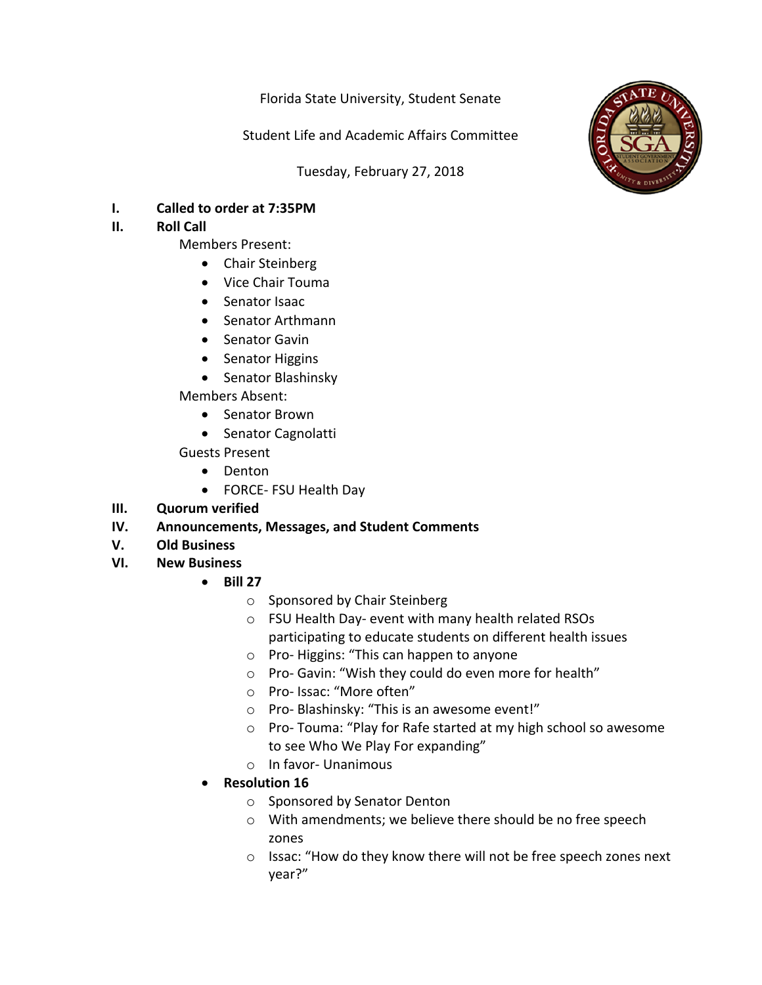Florida State University, Student Senate

Student Life and Academic Affairs Committee

Tuesday, February 27, 2018



**I. Called to order at 7:35PM**

## **II. Roll** Call

- Members Present:
	- Chair Steinberg
	- Vice Chair Touma
	- Senator Isaac
	- Senator Arthmann
	- Senator Gavin
	- Senator Higgins
	- Senator Blashinsky

Members Absent: 

- Senator Brown
- Senator Cagnolatti

Guests Present

- Denton
- FORCE- FSU Health Day
- **III. Quorum** verified

## **IV.** Announcements, Messages, and Student Comments

- **V. Old Business**
- **VI. New Business**
	- **Bill 27**
		- $\circ$  Sponsored by Chair Steinberg
		- o FSU Health Day- event with many health related RSOs participating to educate students on different health issues
		- $\circ$  Pro-Higgins: "This can happen to anyone
		- $\circ$  Pro- Gavin: "Wish they could do even more for health"
		- o Pro- Issac: "More often"
		- $\circ$  Pro- Blashinsky: "This is an awesome event!"
		- $\circ$  Pro-Touma: "Play for Rafe started at my high school so awesome to see Who We Play For expanding"
		- $\circ$  In favor- Unanimous
	- **Resolution 16**
		- o Sponsored by Senator Denton
		- $\circ$  With amendments; we believe there should be no free speech zones
		- $\circ$  Issac: "How do they know there will not be free speech zones next year?"